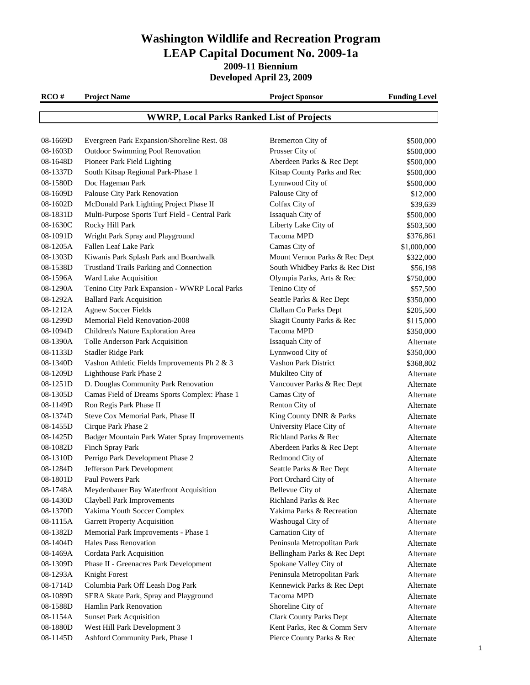**2009-11 Biennium**

**Developed April 23, 2009**

| RCO#     | <b>Project Name</b>                              | <b>Project Sponsor</b>         | <b>Funding Level</b> |
|----------|--------------------------------------------------|--------------------------------|----------------------|
|          | <b>WWRP, Local Parks Ranked List of Projects</b> |                                |                      |
|          |                                                  |                                |                      |
| 08-1669D | Evergreen Park Expansion/Shoreline Rest. 08      | Bremerton City of              | \$500,000            |
| 08-1603D | Outdoor Swimming Pool Renovation                 | Prosser City of                | \$500,000            |
| 08-1648D | Pioneer Park Field Lighting                      | Aberdeen Parks & Rec Dept      | \$500,000            |
| 08-1337D | South Kitsap Regional Park-Phase 1               | Kitsap County Parks and Rec    | \$500,000            |
| 08-1580D | Doc Hageman Park                                 | Lynnwood City of               | \$500,000            |
| 08-1609D | Palouse City Park Renovation                     | Palouse City of                | \$12,000             |
| 08-1602D | McDonald Park Lighting Project Phase II          | Colfax City of                 | \$39,639             |
| 08-1831D | Multi-Purpose Sports Turf Field - Central Park   | Issaquah City of               | \$500,000            |
| 08-1630C | Rocky Hill Park                                  | Liberty Lake City of           | \$503,500            |
| 08-1091D | Wright Park Spray and Playground                 | Tacoma MPD                     | \$376,861            |
| 08-1205A | Fallen Leaf Lake Park                            | Camas City of                  | \$1,000,000          |
| 08-1303D | Kiwanis Park Splash Park and Boardwalk           | Mount Vernon Parks & Rec Dept  | \$322,000            |
| 08-1538D | <b>Trustland Trails Parking and Connection</b>   | South Whidbey Parks & Rec Dist | \$56,198             |
| 08-1596A | Ward Lake Acquisition                            | Olympia Parks, Arts & Rec      | \$750,000            |
| 08-1290A | Tenino City Park Expansion - WWRP Local Parks    | Tenino City of                 | \$57,500             |
| 08-1292A | <b>Ballard Park Acquisition</b>                  | Seattle Parks & Rec Dept       | \$350,000            |
| 08-1212A | <b>Agnew Soccer Fields</b>                       | Clallam Co Parks Dept          | \$205,500            |
| 08-1299D | <b>Memorial Field Renovation-2008</b>            | Skagit County Parks & Rec      | \$115,000            |
| 08-1094D | Children's Nature Exploration Area               | Tacoma MPD                     | \$350,000            |
| 08-1390A | Tolle Anderson Park Acquisition                  | Issaquah City of               | Alternate            |
| 08-1133D | Stadler Ridge Park                               | Lynnwood City of               | \$350,000            |
| 08-1340D | Vashon Athletic Fields Improvements Ph 2 & 3     | Vashon Park District           | \$368,802            |
| 08-1209D | Lighthouse Park Phase 2                          | Mukilteo City of               | Alternate            |
| 08-1251D | D. Douglas Community Park Renovation             | Vancouver Parks & Rec Dept     | Alternate            |
| 08-1305D | Camas Field of Dreams Sports Complex: Phase 1    | Camas City of                  | Alternate            |
| 08-1149D | Ron Regis Park Phase II                          | Renton City of                 | Alternate            |
| 08-1374D | Steve Cox Memorial Park, Phase II                | King County DNR & Parks        | Alternate            |
| 08-1455D | Cirque Park Phase 2                              | University Place City of       | Alternate            |
| 08-1425D | Badger Mountain Park Water Spray Improvements    | Richland Parks & Rec           | Alternate            |
| 08-1082D | Finch Spray Park                                 | Aberdeen Parks & Rec Dept      | Alternate            |
| 08-1310D | Perrigo Park Development Phase 2                 | Redmond City of                | Alternate            |
| 08-1284D | Jefferson Park Development                       | Seattle Parks & Rec Dept       | Alternate            |
| 08-1801D | Paul Powers Park                                 | Port Orchard City of           | Alternate            |
| 08-1748A | Meydenbauer Bay Waterfront Acquisition           | Bellevue City of               | Alternate            |
| 08-1430D | Claybell Park Improvements                       | Richland Parks & Rec           | Alternate            |
| 08-1370D | Yakima Youth Soccer Complex                      | Yakima Parks & Recreation      | Alternate            |
| 08-1115A | <b>Garrett Property Acquisition</b>              | Washougal City of              | Alternate            |
| 08-1382D | Memorial Park Improvements - Phase 1             | Carnation City of              | Alternate            |
| 08-1404D | Hales Pass Renovation                            | Peninsula Metropolitan Park    | Alternate            |
| 08-1469A | Cordata Park Acquisition                         | Bellingham Parks & Rec Dept    | Alternate            |
| 08-1309D | Phase II - Greenacres Park Development           | Spokane Valley City of         | Alternate            |
| 08-1293A | Knight Forest                                    | Peninsula Metropolitan Park    | Alternate            |
| 08-1714D | Columbia Park Off Leash Dog Park                 | Kennewick Parks & Rec Dept     | Alternate            |
| 08-1089D | SERA Skate Park, Spray and Playground            | Tacoma MPD                     | Alternate            |
| 08-1588D | Hamlin Park Renovation                           | Shoreline City of              | Alternate            |
| 08-1154A | <b>Sunset Park Acquisition</b>                   | <b>Clark County Parks Dept</b> | Alternate            |
| 08-1880D | West Hill Park Development 3                     | Kent Parks, Rec & Comm Serv    | Alternate            |

08-1145D Ashford Community Park, Phase 1 Pierce County Parks & Rec Alternate

1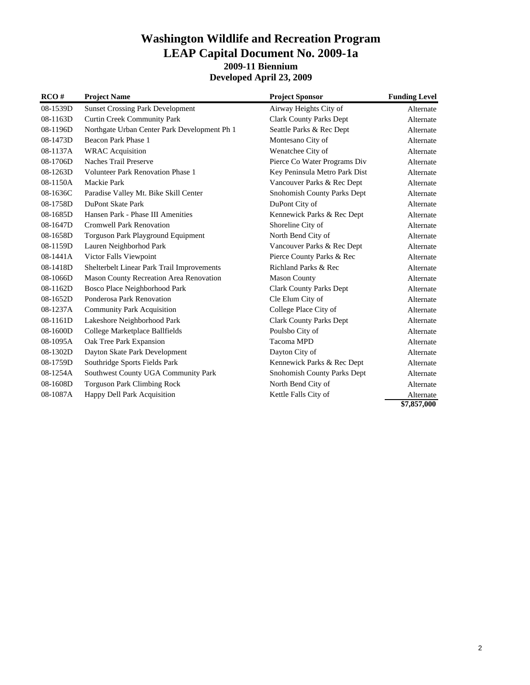#### **Washington Wildlife and Recreation Program LEAP Capital Document No. 2009-1a 2009-11 Biennium Developed April 23, 2009**

| RCO#       | <b>Project Name</b>                            | <b>Project Sponsor</b>         | <b>Funding Level</b> |
|------------|------------------------------------------------|--------------------------------|----------------------|
| 08-1539D   | <b>Sunset Crossing Park Development</b>        | Airway Heights City of         | Alternate            |
| 08-1163D   | <b>Curtin Creek Community Park</b>             | <b>Clark County Parks Dept</b> | Alternate            |
| 08-1196D   | Northgate Urban Center Park Development Ph 1   | Seattle Parks & Rec Dept       | Alternate            |
| 08-1473D   | Beacon Park Phase 1                            | Montesano City of              | Alternate            |
| 08-1137A   | <b>WRAC</b> Acquisition                        | Wenatchee City of              | Alternate            |
| 08-1706D   | <b>Naches Trail Preserve</b>                   | Pierce Co Water Programs Div   | Alternate            |
| 08-1263D   | <b>Volunteer Park Renovation Phase 1</b>       | Key Peninsula Metro Park Dist  | Alternate            |
| 08-1150A   | Mackie Park                                    | Vancouver Parks & Rec Dept     | Alternate            |
| 08-1636C   | Paradise Valley Mt. Bike Skill Center          | Snohomish County Parks Dept    | Alternate            |
| 08-1758D   | DuPont Skate Park                              | DuPont City of                 | Alternate            |
| 08-1685D   | Hansen Park - Phase III Amenities              | Kennewick Parks & Rec Dept     | Alternate            |
| 08-1647D   | <b>Cromwell Park Renovation</b>                | Shoreline City of              | Alternate            |
| 08-1658D   | Torguson Park Playground Equipment             | North Bend City of             | Alternate            |
| 08-1159D   | Lauren Neighborhod Park                        | Vancouver Parks & Rec Dept     | Alternate            |
| $08-1441A$ | Victor Falls Viewpoint                         | Pierce County Parks & Rec      | Alternate            |
| 08-1418D   | Shelterbelt Linear Park Trail Improvements     | Richland Parks & Rec           | Alternate            |
| 08-1066D   | <b>Mason County Recreation Area Renovation</b> | <b>Mason County</b>            | Alternate            |
| 08-1162D   | Bosco Place Neighborhood Park                  | <b>Clark County Parks Dept</b> | Alternate            |
| 08-1652D   | Ponderosa Park Renovation                      | Cle Elum City of               | Alternate            |
| 08-1237A   | <b>Community Park Acquisition</b>              | College Place City of          | Alternate            |
| 08-1161D   | Lakeshore Neighborhood Park                    | <b>Clark County Parks Dept</b> | Alternate            |
| 08-1600D   | College Marketplace Ballfields                 | Poulsbo City of                | Alternate            |
| 08-1095A   | Oak Tree Park Expansion                        | Tacoma MPD                     | Alternate            |
| 08-1302D   | Dayton Skate Park Development                  | Dayton City of                 | Alternate            |
| 08-1759D   | Southridge Sports Fields Park                  | Kennewick Parks & Rec Dept     | Alternate            |
| 08-1254A   | Southwest County UGA Community Park            | Snohomish County Parks Dept    | Alternate            |
| 08-1608D   | <b>Torguson Park Climbing Rock</b>             | North Bend City of             | Alternate            |
| 08-1087A   | Happy Dell Park Acquisition                    | Kettle Falls City of           | Alternate            |
|            |                                                |                                | \$7,857,000          |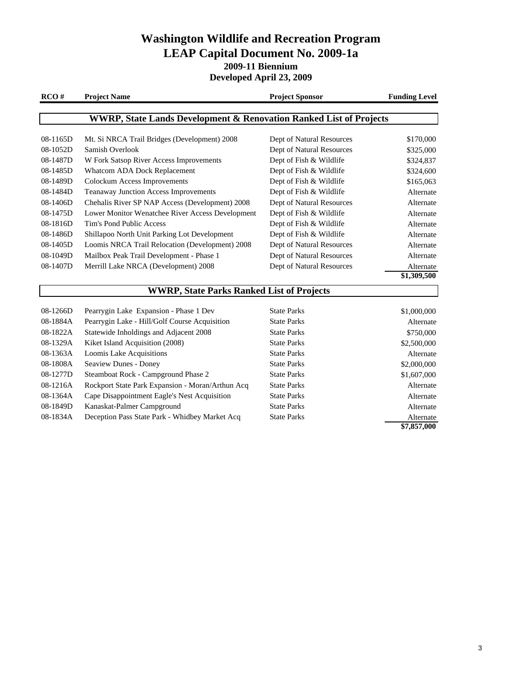**Developed April 23, 2009**

| RCO#     | <b>Project Name</b>                                                           | <b>Project Sponsor</b>    | <b>Funding Level</b> |
|----------|-------------------------------------------------------------------------------|---------------------------|----------------------|
|          | <b>WWRP, State Lands Development &amp; Renovation Ranked List of Projects</b> |                           |                      |
|          |                                                                               |                           |                      |
| 08-1165D | Mt. Si NRCA Trail Bridges (Development) 2008                                  | Dept of Natural Resources | \$170,000            |
| 08-1052D | Samish Overlook                                                               | Dept of Natural Resources | \$325,000            |
| 08-1487D | W Fork Satsop River Access Improvements                                       | Dept of Fish & Wildlife   | \$324,837            |
| 08-1485D | Whatcom ADA Dock Replacement                                                  | Dept of Fish & Wildlife   | \$324,600            |
| 08-1489D | <b>Colockum Access Improvements</b>                                           | Dept of Fish & Wildlife   | \$165,063            |
| 08-1484D | Teanaway Junction Access Improvements                                         | Dept of Fish & Wildlife   | Alternate            |
| 08-1406D | Chehalis River SP NAP Access (Development) 2008                               | Dept of Natural Resources | Alternate            |
| 08-1475D | Lower Monitor Wenatchee River Access Development                              | Dept of Fish & Wildlife   | Alternate            |
| 08-1816D | Tim's Pond Public Access                                                      | Dept of Fish & Wildlife   | Alternate            |
| 08-1486D | Shillapoo North Unit Parking Lot Development                                  | Dept of Fish & Wildlife   | Alternate            |
| 08-1405D | Loomis NRCA Trail Relocation (Development) 2008                               | Dept of Natural Resources | Alternate            |
| 08-1049D | Mailbox Peak Trail Development - Phase 1                                      | Dept of Natural Resources | Alternate            |
| 08-1407D | Merrill Lake NRCA (Development) 2008                                          | Dept of Natural Resources | Alternate            |
|          |                                                                               |                           | \$1,309,500          |
|          | <b>WWRP, State Parks Ranked List of Projects</b>                              |                           |                      |
| 08-1266D | Pearrygin Lake Expansion - Phase 1 Dev                                        | <b>State Parks</b>        | \$1,000,000          |
| 08-1884A | Pearrygin Lake - Hill/Golf Course Acquisition                                 | <b>State Parks</b>        | Alternate            |
| 08-1822A | Statewide Inholdings and Adjacent 2008                                        | <b>State Parks</b>        | \$750,000            |
| 08-1329A | Kiket Island Acquisition (2008)                                               | <b>State Parks</b>        | \$2,500,000          |
| 08-1363A | Loomis Lake Acquisitions                                                      | <b>State Parks</b>        | Alternate            |
| 08-1808A | Seaview Dunes - Doney                                                         | <b>State Parks</b>        | \$2,000,000          |
| 08-1277D | Steamboat Rock - Campground Phase 2                                           | <b>State Parks</b>        | \$1,607,000          |
| 08-1216A | Rockport State Park Expansion - Moran/Arthun Acq                              | <b>State Parks</b>        | Alternate            |
| 08-1364A | Cape Disappointment Eagle's Nest Acquisition                                  | <b>State Parks</b>        | Alternate            |

08-1849D Kanaskat-Palmer Campground State Parks State Parks Alternate

08-1834A Deception Pass State Park - Whidbey Market Acq State Parks Alternate

**\$7,857,000**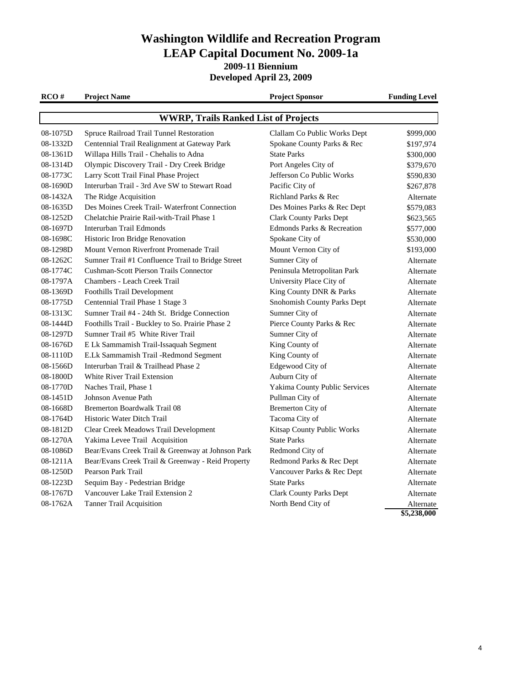**2009-11 Biennium**

**Developed April 23, 2009**

**RCO # Project Name Project Sponsor Funding Level** 08-1075D Spruce Railroad Trail Tunnel Restoration Clallam Co Public Works Dept \$999,000 08-1332D Centennial Trail Realignment at Gateway Park Spokane County Parks & Rec \$197,974 08-1361D Willapa Hills Trail - Chehalis to Adna State Parks \$300,000 State Parks \$300,000 08-1314D Olympic Discovery Trail - Dry Creek Bridge Port Angeles City of \$379,670 08-1773C Larry Scott Trail Final Phase Project Jefferson Co Public Works \$590,830 08-1690D Interurban Trail - 3rd Ave SW to Stewart Road Pacific City of \$267,878 08-1432A The Ridge Acquisition Richland Parks & Rec Alternate 08-1635D Des Moines Creek Trail- Waterfront Connection Des Moines Parks & Rec Dept \$579,083 08-1252D Chelatchie Prairie Rail-with-Trail Phase 1 Clark County Parks Dept \$623,565 08-1697D Interurban Trail Edmonds **Edmonds** Edmonds Parks & Recreation \$577,000 08-1698C Historic Iron Bridge Renovation Spokane City of \$530,000 08-1298D Mount Vernon Riverfront Promenade Trail Mount Vernon City of \$193,000 08-1262C Sumner Trail #1 Confluence Trail to Bridge Street Sumner City of Alternate 08-1774C Cushman-Scott Pierson Trails Connector Peninsula Metropolitan Park Alternate 08-1797A Chambers - Leach Creek Trail University Place City of Alternate 08-1369D Foothills Trail Development King County DNR & Parks Alternate 08-1775D Centennial Trail Phase 1 Stage 3 Snohomish County Parks Dept Alternate 08-1313C Sumner Trail #4 - 24th St. Bridge Connection Sumner City of Alternate 08-1444D Foothills Trail - Buckley to So. Prairie Phase 2 Pierce County Parks & Rec Alternate 08-1297D Sumner Trail #5 White River Trail Sumner City of Alternate 08-1676D E Lk Sammamish Trail-Issaquah Segment King County of Alternate 08-1110D E.Lk Sammamish Trail -Redmond Segment King County of Alternate 08-1566D Interurban Trail & Trailhead Phase 2 Edgewood City of Alternate 08-1800D White River Trail Extension Auburn City of Alternate Auburn City of Alternate 08-1770D Naches Trail, Phase 1 Yakima County Public Services Alternate 08-1451D Johnson Avenue Path Pullman City of Alternate 08-1668D Bremerton Boardwalk Trail 08 Bremerton City of Alternate 08-1764D Historic Water Ditch Trail Tacoma City of Alternate 08-1812D Clear Creek Meadows Trail Development Kitsap County Public Works Alternate 08-1270A Yakima Levee Trail Acquisition State Parks State Parks Alternate 08-1086D Bear/Evans Creek Trail & Greenway at Johnson Park Redmond City of Alternate 08-1211A Bear/Evans Creek Trail & Greenway - Reid Property Redmond Parks & Rec Dept Alternate 08-1250D Pearson Park Trail Vancouver Parks & Rec Dept Alternate 08-1223D Sequim Bay - Pedestrian Bridge State Parks State Parks Alternate 08-1767D Vancouver Lake Trail Extension 2 Clark County Parks Dept Alternate 08-1762A Tanner Trail Acquisition North Bend City of Alternate **WWRP, Trails Ranked List of Projects**

**\$5,238,000**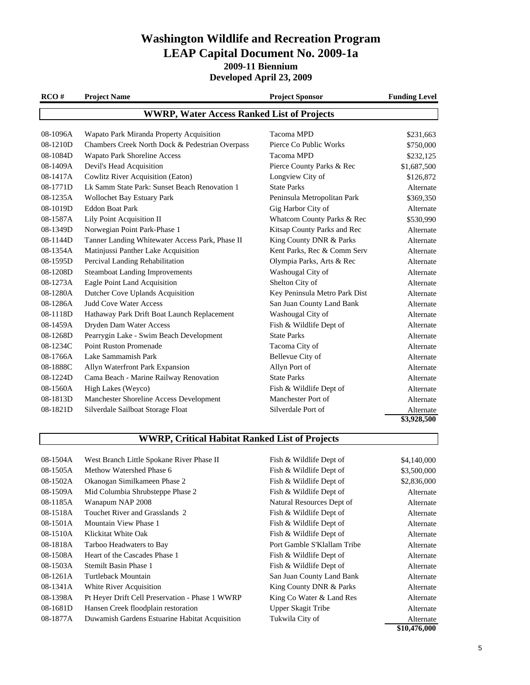**Developed April 23, 2009**

| RCO#                                              | <b>Project Name</b>                             | <b>Project Sponsor</b>        | <b>Funding Level</b>    |
|---------------------------------------------------|-------------------------------------------------|-------------------------------|-------------------------|
| <b>WWRP, Water Access Ranked List of Projects</b> |                                                 |                               |                         |
| 08-1096A                                          | Wapato Park Miranda Property Acquisition        | Tacoma MPD                    | \$231,663               |
| 08-1210D                                          | Chambers Creek North Dock & Pedestrian Overpass | Pierce Co Public Works        | \$750,000               |
| 08-1084D                                          | <b>Wapato Park Shoreline Access</b>             | Tacoma MPD                    | \$232,125               |
| 08-1409A                                          | Devil's Head Acquisition                        | Pierce County Parks & Rec     | \$1,687,500             |
| 08-1417A                                          | <b>Cowlitz River Acquisition (Eaton)</b>        | Longview City of              | \$126,872               |
| 08-1771D                                          | Lk Samm State Park: Sunset Beach Renovation 1   | <b>State Parks</b>            | Alternate               |
| 08-1235A                                          | Wollochet Bay Estuary Park                      | Peninsula Metropolitan Park   | \$369,350               |
| 08-1019D                                          | <b>Eddon Boat Park</b>                          | Gig Harbor City of            | Alternate               |
| 08-1587A                                          | Lily Point Acquisition II                       | Whatcom County Parks & Rec    | \$530,990               |
| 08-1349D                                          | Norwegian Point Park-Phase 1                    | Kitsap County Parks and Rec   | Alternate               |
| 08-1144D                                          | Tanner Landing Whitewater Access Park, Phase II | King County DNR & Parks       | Alternate               |
| 08-1354A                                          | Matinjussi Panther Lake Acquisition             | Kent Parks, Rec & Comm Serv   | Alternate               |
| 08-1595D                                          | Percival Landing Rehabilitation                 | Olympia Parks, Arts & Rec     | Alternate               |
| 08-1208D                                          | <b>Steamboat Landing Improvements</b>           | Washougal City of             | Alternate               |
| 08-1273A                                          | Eagle Point Land Acquisition                    | Shelton City of               | Alternate               |
| 08-1280A                                          | Dutcher Cove Uplands Acquisition                | Key Peninsula Metro Park Dist | Alternate               |
| 08-1286A                                          | Judd Cove Water Access                          | San Juan County Land Bank     | Alternate               |
| 08-1118D                                          | Hathaway Park Drift Boat Launch Replacement     | Washougal City of             | Alternate               |
| 08-1459A                                          | Dryden Dam Water Access                         | Fish & Wildlife Dept of       | Alternate               |
| 08-1268D                                          | Pearrygin Lake - Swim Beach Development         | <b>State Parks</b>            | Alternate               |
| 08-1234C                                          | <b>Point Ruston Promenade</b>                   | Tacoma City of                | Alternate               |
| 08-1766A                                          | Lake Sammamish Park                             | Bellevue City of              | Alternate               |
| 08-1888C                                          | Allyn Waterfront Park Expansion                 | Allyn Port of                 | Alternate               |
| 08-1224D                                          | Cama Beach - Marine Railway Renovation          | <b>State Parks</b>            | Alternate               |
| 08-1560A                                          | High Lakes (Weyco)                              | Fish & Wildlife Dept of       | Alternate               |
| 08-1813D                                          | Manchester Shoreline Access Development         | Manchester Port of            | Alternate               |
| 08-1821D                                          | Silverdale Sailboat Storage Float               | Silverdale Port of            | Alternate               |
|                                                   |                                                 |                               | $\overline{33,}928,500$ |

#### **WWRP, Critical Habitat Ranked List of Projects**

| 08-1504A | West Branch Little Spokane River Phase II       | Fish & Wildlife Dept of     | \$4,140,000  |
|----------|-------------------------------------------------|-----------------------------|--------------|
| 08-1505A | Methow Watershed Phase 6                        | Fish & Wildlife Dept of     | \$3,500,000  |
| 08-1502A | Okanogan Similkameen Phase 2                    | Fish & Wildlife Dept of     | \$2,836,000  |
| 08-1509A | Mid Columbia Shrubsteppe Phase 2                | Fish & Wildlife Dept of     | Alternate    |
| 08-1185A | Wanapum NAP 2008                                | Natural Resources Dept of   | Alternate    |
| 08-1518A | Touchet River and Grasslands 2                  | Fish & Wildlife Dept of     | Alternate    |
| 08-1501A | Mountain View Phase 1                           | Fish & Wildlife Dept of     | Alternate    |
| 08-1510A | Klickitat White Oak                             | Fish & Wildlife Dept of     | Alternate    |
| 08-1818A | Tarboo Headwaters to Bay                        | Port Gamble S'Klallam Tribe | Alternate    |
| 08-1508A | Heart of the Cascades Phase 1                   | Fish & Wildlife Dept of     | Alternate    |
| 08-1503A | Stemilt Basin Phase 1                           | Fish & Wildlife Dept of     | Alternate    |
| 08-1261A | Turtleback Mountain                             | San Juan County Land Bank   | Alternate    |
| 08-1341A | White River Acquisition                         | King County DNR & Parks     | Alternate    |
| 08-1398A | Pt Hever Drift Cell Preservation - Phase 1 WWRP | King Co Water & Land Res    | Alternate    |
| 08-1681D | Hansen Creek floodplain restoration             | Upper Skagit Tribe          | Alternate    |
| 08-1877A | Duwamish Gardens Estuarine Habitat Acquisition  | Tukwila City of             | Alternate    |
|          |                                                 |                             | \$10,476,000 |
|          |                                                 |                             |              |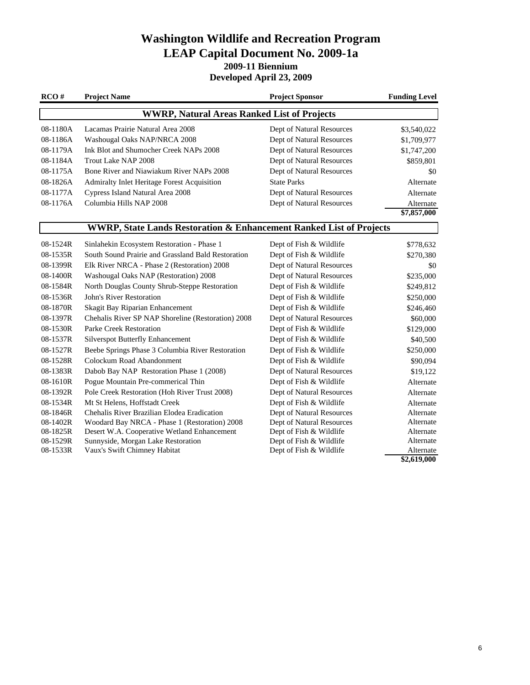**2009-11 Biennium**

**Developed April 23, 2009**

| RCO#                                               | <b>Project Name</b>                                                            | <b>Project Sponsor</b>    | <b>Funding Level</b>    |  |
|----------------------------------------------------|--------------------------------------------------------------------------------|---------------------------|-------------------------|--|
| <b>WWRP, Natural Areas Ranked List of Projects</b> |                                                                                |                           |                         |  |
| 08-1180A                                           | Lacamas Prairie Natural Area 2008                                              | Dept of Natural Resources | \$3,540,022             |  |
| 08-1186A                                           | Washougal Oaks NAP/NRCA 2008                                                   | Dept of Natural Resources | \$1,709,977             |  |
| 08-1179A                                           | Ink Blot and Shumocher Creek NAPs 2008                                         | Dept of Natural Resources | \$1,747,200             |  |
| 08-1184A                                           | Trout Lake NAP 2008                                                            | Dept of Natural Resources | \$859,801               |  |
| 08-1175A                                           | Bone River and Niawiakum River NAPs 2008                                       | Dept of Natural Resources | \$0                     |  |
| 08-1826A                                           | Admiralty Inlet Heritage Forest Acquisition                                    | <b>State Parks</b>        | Alternate               |  |
| 08-1177A                                           | Cypress Island Natural Area 2008                                               | Dept of Natural Resources | Alternate               |  |
| 08-1176A                                           | Columbia Hills NAP 2008                                                        | Dept of Natural Resources | Alternate               |  |
|                                                    |                                                                                |                           | $\overline{$7,857,000}$ |  |
|                                                    | <b>WWRP, State Lands Restoration &amp; Enhancement Ranked List of Projects</b> |                           |                         |  |
| 08-1524R                                           | Sinlahekin Ecosystem Restoration - Phase 1                                     | Dept of Fish & Wildlife   | \$778,632               |  |
| 08-1535R                                           | South Sound Prairie and Grassland Bald Restoration                             | Dept of Fish & Wildlife   | \$270,380               |  |
| 08-1399R                                           | Elk River NRCA - Phase 2 (Restoration) 2008                                    | Dept of Natural Resources | \$0                     |  |
| 08-1400R                                           | Washougal Oaks NAP (Restoration) 2008                                          | Dept of Natural Resources | \$235,000               |  |
| 08-1584R                                           | North Douglas County Shrub-Steppe Restoration                                  | Dept of Fish & Wildlife   | \$249,812               |  |
| 08-1536R                                           | John's River Restoration                                                       | Dept of Fish & Wildlife   | \$250,000               |  |
| 08-1870R                                           | Skagit Bay Riparian Enhancement                                                | Dept of Fish & Wildlife   | \$246,460               |  |
| 08-1397R                                           | Chehalis River SP NAP Shoreline (Restoration) 2008                             | Dept of Natural Resources | \$60,000                |  |
| 08-1530R                                           | <b>Parke Creek Restoration</b>                                                 | Dept of Fish & Wildlife   | \$129,000               |  |
| 08-1537R                                           | <b>Silverspot Butterfly Enhancement</b>                                        | Dept of Fish & Wildlife   | \$40,500                |  |
| 08-1527R                                           | Beebe Springs Phase 3 Columbia River Restoration                               | Dept of Fish & Wildlife   | \$250,000               |  |
| 08-1528R                                           | Colockum Road Abandonment                                                      | Dept of Fish & Wildlife   | \$90,094                |  |
| 08-1383R                                           | Dabob Bay NAP Restoration Phase 1 (2008)                                       | Dept of Natural Resources | \$19,122                |  |
| 08-1610R                                           | Pogue Mountain Pre-commerical Thin                                             | Dept of Fish & Wildlife   | Alternate               |  |
| 08-1392R                                           | Pole Creek Restoration (Hoh River Trust 2008)                                  | Dept of Natural Resources | Alternate               |  |
| 08-1534R                                           | Mt St Helens, Hoffstadt Creek                                                  | Dept of Fish & Wildlife   | Alternate               |  |
| 08-1846R                                           | Chehalis River Brazilian Elodea Eradication                                    | Dept of Natural Resources | Alternate               |  |
| 08-1402R                                           | Woodard Bay NRCA - Phase 1 (Restoration) 2008                                  | Dept of Natural Resources | Alternate               |  |
| 08-1825R                                           | Desert W.A. Cooperative Wetland Enhancement                                    | Dept of Fish & Wildlife   | Alternate               |  |
| 08-1529R                                           | Sunnyside, Morgan Lake Restoration                                             | Dept of Fish & Wildlife   | Alternate               |  |
| 08-1533R                                           | Vaux's Swift Chimney Habitat                                                   | Dept of Fish & Wildlife   | Alternate               |  |
|                                                    |                                                                                |                           | \$2,619,000             |  |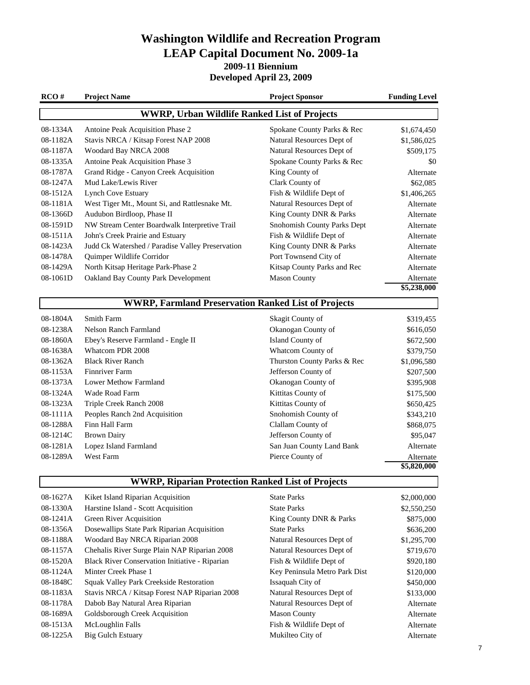**2009-11 Biennium**

**Developed April 23, 2009**

| RCO#     | <b>Project Name</b>                                        | <b>Project Sponsor</b>        | <b>Funding Level</b>    |
|----------|------------------------------------------------------------|-------------------------------|-------------------------|
|          | <b>WWRP, Urban Wildlife Ranked List of Projects</b>        |                               |                         |
| 08-1334A | Antoine Peak Acquisition Phase 2                           | Spokane County Parks & Rec    | \$1,674,450             |
| 08-1182A | Stavis NRCA / Kitsap Forest NAP 2008                       | Natural Resources Dept of     | \$1,586,025             |
| 08-1187A | Woodard Bay NRCA 2008                                      | Natural Resources Dept of     | \$509,175               |
| 08-1335A | Antoine Peak Acquisition Phase 3                           | Spokane County Parks & Rec    | \$0                     |
| 08-1787A | Grand Ridge - Canyon Creek Acquisition                     | King County of                | Alternate               |
| 08-1247A | Mud Lake/Lewis River                                       | Clark County of               | \$62,085                |
| 08-1512A | <b>Lynch Cove Estuary</b>                                  | Fish & Wildlife Dept of       | \$1,406,265             |
| 08-1181A | West Tiger Mt., Mount Si, and Rattlesnake Mt.              | Natural Resources Dept of     | Alternate               |
| 08-1366D | Audubon Birdloop, Phase II                                 | King County DNR & Parks       | Alternate               |
| 08-1591D | NW Stream Center Boardwalk Interpretive Trail              | Snohomish County Parks Dept   | Alternate               |
| 08-1511A | John's Creek Prairie and Estuary                           | Fish & Wildlife Dept of       | Alternate               |
| 08-1423A | Judd Ck Watershed / Paradise Valley Preservation           | King County DNR & Parks       | Alternate               |
| 08-1478A | Quimper Wildlife Corridor                                  | Port Townsend City of         | Alternate               |
| 08-1429A | North Kitsap Heritage Park-Phase 2                         | Kitsap County Parks and Rec   | Alternate               |
| 08-1061D | Oakland Bay County Park Development                        | <b>Mason County</b>           | Alternate               |
|          |                                                            |                               | \$5,238,000             |
|          | <b>WWRP, Farmland Preservation Ranked List of Projects</b> |                               |                         |
| 08-1804A | <b>Smith Farm</b>                                          | Skagit County of              | \$319,455               |
| 08-1238A | <b>Nelson Ranch Farmland</b>                               | Okanogan County of            | \$616,050               |
| 08-1860A | Ebey's Reserve Farmland - Engle II                         | Island County of              | \$672,500               |
| 08-1638A | Whatcom PDR 2008                                           | Whatcom County of             | \$379,750               |
| 08-1362A | <b>Black River Ranch</b>                                   | Thurston County Parks & Rec   | \$1,096,580             |
| 08-1153A | <b>Finnriver Farm</b>                                      | Jefferson County of           | \$207,500               |
| 08-1373A | <b>Lower Methow Farmland</b>                               | Okanogan County of            | \$395,908               |
| 08-1324A | Wade Road Farm                                             | Kittitas County of            | \$175,500               |
| 08-1323A | Triple Creek Ranch 2008                                    | Kittitas County of            | \$650,425               |
| 08-1111A | Peoples Ranch 2nd Acquisition                              | Snohomish County of           | \$343,210               |
| 08-1288A | Finn Hall Farm                                             | Clallam County of             | \$868,075               |
| 08-1214C | <b>Brown Dairy</b>                                         | Jefferson County of           | \$95,047                |
| 08-1281A | Lopez Island Farmland                                      | San Juan County Land Bank     | Alternate               |
| 08-1289A | <b>West Farm</b>                                           | Pierce County of              | Alternate               |
|          |                                                            |                               | $\overline{$}5,820,000$ |
|          | <b>WWRP, Riparian Protection Ranked List of Projects</b>   |                               |                         |
| 08-1627A | Kiket Island Riparian Acquisition                          | <b>State Parks</b>            | \$2,000,000             |
| 08-1330A | Harstine Island - Scott Acquisition                        | <b>State Parks</b>            | \$2,550,250             |
| 08-1241A | <b>Green River Acquisition</b>                             | King County DNR & Parks       | \$875,000               |
| 08-1356A | Dosewallips State Park Riparian Acquisition                | <b>State Parks</b>            | \$636,200               |
| 08-1188A | Woodard Bay NRCA Riparian 2008                             | Natural Resources Dept of     | \$1,295,700             |
| 08-1157A | Chehalis River Surge Plain NAP Riparian 2008               | Natural Resources Dept of     | \$719,670               |
| 08-1520A | Black River Conservation Initiative - Riparian             | Fish & Wildlife Dept of       | \$920,180               |
| 08-1124A | Minter Creek Phase 1                                       | Key Peninsula Metro Park Dist | \$120,000               |
| 08-1848C | Squak Valley Park Creekside Restoration                    | Issaquah City of              | \$450,000               |
| 08-1183A | Stavis NRCA / Kitsap Forest NAP Riparian 2008              | Natural Resources Dept of     | \$133,000               |
| 08-1178A | Dabob Bay Natural Area Riparian                            | Natural Resources Dept of     | Alternate               |
| 08-1689A | Goldsborough Creek Acquisition                             | <b>Mason County</b>           | Alternate               |
| 08-1513A | McLoughlin Falls                                           | Fish & Wildlife Dept of       | Alternate               |
| 08-1225A | <b>Big Gulch Estuary</b>                                   | Mukilteo City of              | Alternate               |